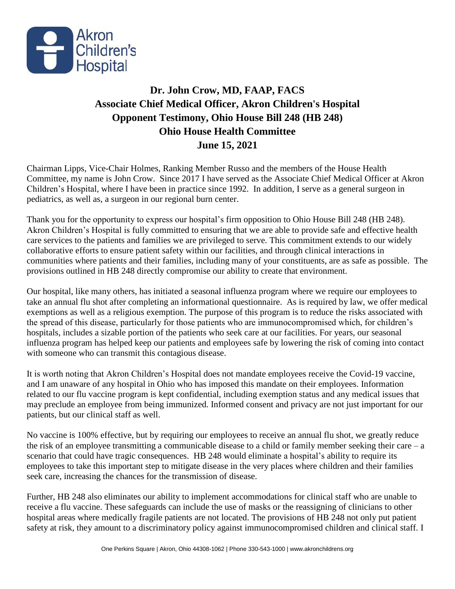

## **Dr. John Crow, MD, FAAP, FACS Associate Chief Medical Officer, Akron Children's Hospital Opponent Testimony, Ohio House Bill 248 (HB 248) Ohio House Health Committee June 15, 2021**

Chairman Lipps, Vice-Chair Holmes, Ranking Member Russo and the members of the House Health Committee, my name is John Crow. Since 2017 I have served as the Associate Chief Medical Officer at Akron Children's Hospital, where I have been in practice since 1992. In addition, I serve as a general surgeon in pediatrics, as well as, a surgeon in our regional burn center.

Thank you for the opportunity to express our hospital's firm opposition to Ohio House Bill 248 (HB 248). Akron Children's Hospital is fully committed to ensuring that we are able to provide safe and effective health care services to the patients and families we are privileged to serve. This commitment extends to our widely collaborative efforts to ensure patient safety within our facilities, and through clinical interactions in communities where patients and their families, including many of your constituents, are as safe as possible. The provisions outlined in HB 248 directly compromise our ability to create that environment.

Our hospital, like many others, has initiated a seasonal influenza program where we require our employees to take an annual flu shot after completing an informational questionnaire. As is required by law, we offer medical exemptions as well as a religious exemption. The purpose of this program is to reduce the risks associated with the spread of this disease, particularly for those patients who are immunocompromised which, for children's hospitals, includes a sizable portion of the patients who seek care at our facilities. For years, our seasonal influenza program has helped keep our patients and employees safe by lowering the risk of coming into contact with someone who can transmit this contagious disease.

It is worth noting that Akron Children's Hospital does not mandate employees receive the Covid-19 vaccine, and I am unaware of any hospital in Ohio who has imposed this mandate on their employees. Information related to our flu vaccine program is kept confidential, including exemption status and any medical issues that may preclude an employee from being immunized. Informed consent and privacy are not just important for our patients, but our clinical staff as well.

No vaccine is 100% effective, but by requiring our employees to receive an annual flu shot, we greatly reduce the risk of an employee transmitting a communicable disease to a child or family member seeking their care  $-a$ scenario that could have tragic consequences. HB 248 would eliminate a hospital's ability to require its employees to take this important step to mitigate disease in the very places where children and their families seek care, increasing the chances for the transmission of disease.

Further, HB 248 also eliminates our ability to implement accommodations for clinical staff who are unable to receive a flu vaccine. These safeguards can include the use of masks or the reassigning of clinicians to other hospital areas where medically fragile patients are not located. The provisions of HB 248 not only put patient safety at risk, they amount to a discriminatory policy against immunocompromised children and clinical staff. I